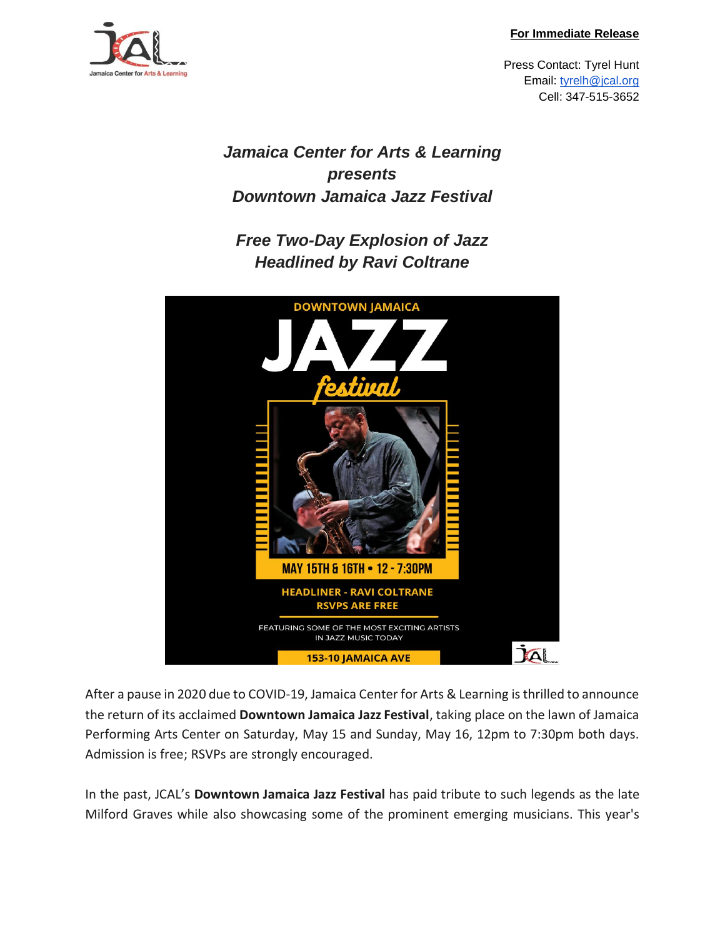#### **For Immediate Release**



Press Contact: Tyrel Hunt Email: [tyrelh@jcal.org](mailto:tyrelh@jcal.org) Cell: 347-515-3652

*Jamaica Center for Arts & Learning presents Downtown Jamaica Jazz Festival*

*Free Two-Day Explosion of Jazz Headlined by Ravi Coltrane*



After a pause in 2020 due to COVID-19, Jamaica Center for Arts & Learning is thrilled to announce the return of its acclaimed **Downtown Jamaica Jazz Festival**, taking place on the lawn of Jamaica Performing Arts Center on Saturday, May 15 and Sunday, May 16, 12pm to 7:30pm both days. Admission is free; RSVPs are strongly encouraged.

In the past, JCAL's **Downtown Jamaica Jazz Festival** has paid tribute to such legends as the late Milford Graves while also showcasing some of the prominent emerging musicians. This year's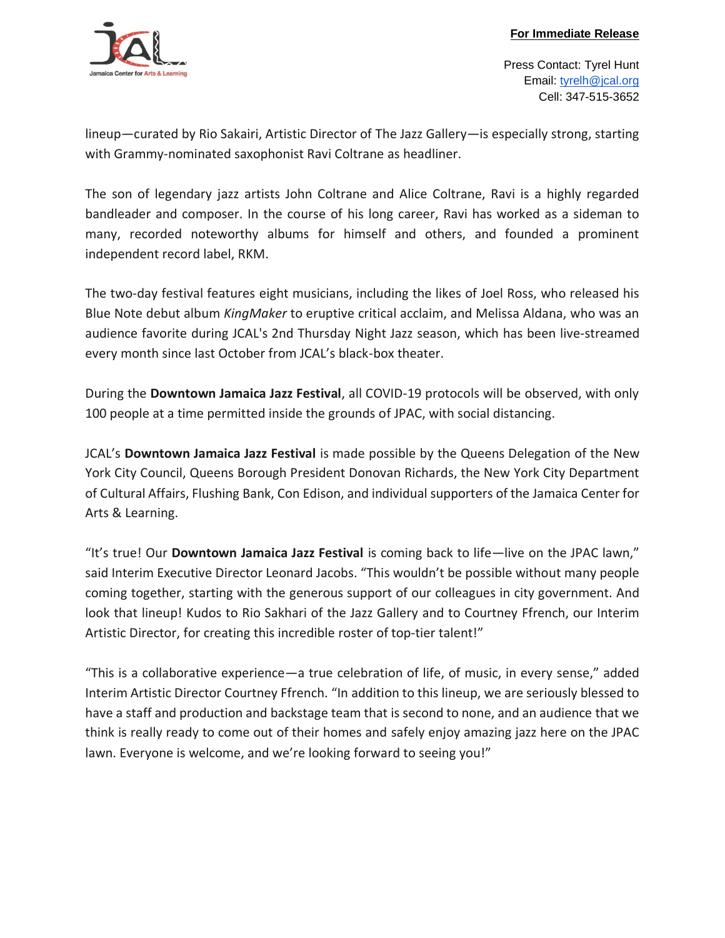

Press Contact: Tyrel Hunt Email: [tyrelh@jcal.org](mailto:tyrelh@jcal.org) Cell: 347-515-3652

lineup—curated by Rio Sakairi, Artistic Director of The Jazz Gallery—is especially strong, starting with Grammy-nominated saxophonist Ravi Coltrane as headliner.

The son of legendary jazz artists John Coltrane and Alice Coltrane, Ravi is a highly regarded bandleader and composer. In the course of his long career, Ravi has worked as a sideman to many, recorded noteworthy albums for himself and others, and founded a prominent independent record label, RKM.

The two-day festival features eight musicians, including the likes of Joel Ross, who released his Blue Note debut album *KingMaker* to eruptive critical acclaim, and Melissa Aldana, who was an audience favorite during JCAL's 2nd Thursday Night Jazz season, which has been live-streamed every month since last October from JCAL's black-box theater.

During the **Downtown Jamaica Jazz Festival**, all COVID-19 protocols will be observed, with only 100 people at a time permitted inside the grounds of JPAC, with social distancing.

JCAL's **Downtown Jamaica Jazz Festival** is made possible by the Queens Delegation of the New York City Council, Queens Borough President Donovan Richards, the New York City Department of Cultural Affairs, Flushing Bank, Con Edison, and individual supporters of the Jamaica Center for Arts & Learning.

"It's true! Our **Downtown Jamaica Jazz Festival** is coming back to life—live on the JPAC lawn," said Interim Executive Director Leonard Jacobs. "This wouldn't be possible without many people coming together, starting with the generous support of our colleagues in city government. And look that lineup! Kudos to Rio Sakhari of the Jazz Gallery and to Courtney Ffrench, our Interim Artistic Director, for creating this incredible roster of top-tier talent!"

"This is a collaborative experience—a true celebration of life, of music, in every sense," added Interim Artistic Director Courtney Ffrench. "In addition to this lineup, we are seriously blessed to have a staff and production and backstage team that is second to none, and an audience that we think is really ready to come out of their homes and safely enjoy amazing jazz here on the JPAC lawn. Everyone is welcome, and we're looking forward to seeing you!"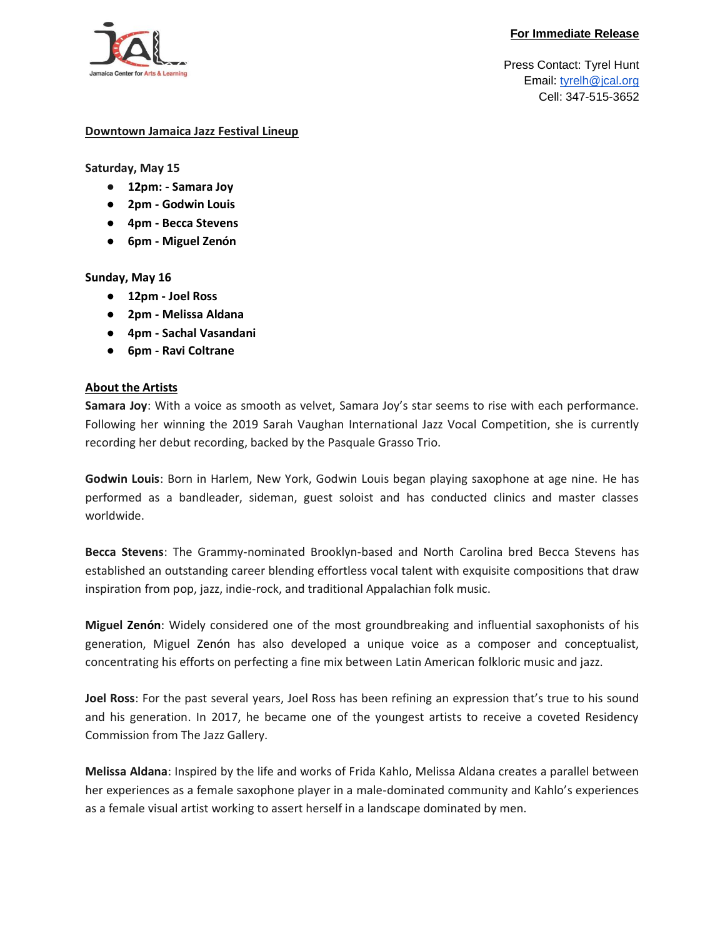#### **For Immediate Release**



Press Contact: Tyrel Hunt Email: [tyrelh@jcal.org](mailto:tyrelh@jcal.org) Cell: 347-515-3652

### **Downtown Jamaica Jazz Festival Lineup**

**Saturday, May 15**

- **12pm: - Samara Joy**
- **2pm - Godwin Louis**
- **4pm - Becca Stevens**
- **6pm - Miguel Zenón**

## **Sunday, May 16**

- **12pm - Joel Ross**
- **2pm - Melissa Aldana**
- **4pm - Sachal Vasandani**
- **6pm - Ravi Coltrane**

## **About the Artists**

**Samara Joy**: With a voice as smooth as velvet, Samara Joy's star seems to rise with each performance. Following her winning the 2019 Sarah Vaughan International Jazz Vocal Competition, she is currently recording her debut recording, backed by the Pasquale Grasso Trio.

**Godwin Louis**: Born in Harlem, New York, Godwin Louis began playing saxophone at age nine. He has performed as a bandleader, sideman, guest soloist and has conducted clinics and master classes worldwide.

**Becca Stevens**: The Grammy-nominated Brooklyn-based and North Carolina bred Becca Stevens has established an outstanding career blending effortless vocal talent with exquisite compositions that draw inspiration from pop, jazz, indie-rock, and traditional Appalachian folk music.

**Miguel Zenón**: Widely considered one of the most groundbreaking and influential saxophonists of his generation, Miguel Zenón has also developed a unique voice as a composer and conceptualist, concentrating his efforts on perfecting a fine mix between Latin American folkloric music and jazz.

**Joel Ross**: For the past several years, Joel Ross has been refining an expression that's true to his sound and his generation. In 2017, he became one of the youngest artists to receive a coveted Residency Commission from The Jazz Gallery.

**Melissa Aldana**: Inspired by the life and works of Frida Kahlo, Melissa Aldana creates a parallel between her experiences as a female saxophone player in a male-dominated community and Kahlo's experiences as a female visual artist working to assert herself in a landscape dominated by men.